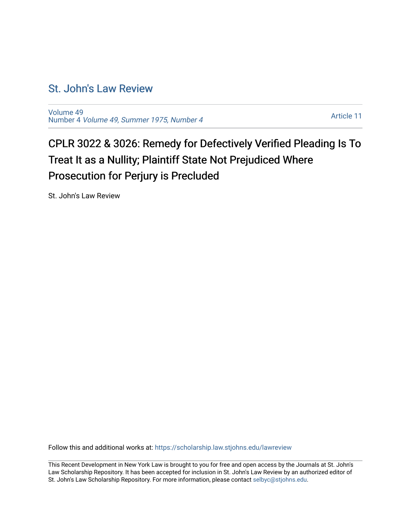## [St. John's Law Review](https://scholarship.law.stjohns.edu/lawreview)

[Volume 49](https://scholarship.law.stjohns.edu/lawreview/vol49) Number 4 [Volume 49, Summer 1975, Number 4](https://scholarship.law.stjohns.edu/lawreview/vol49/iss4) 

[Article 11](https://scholarship.law.stjohns.edu/lawreview/vol49/iss4/11) 

## CPLR 3022 & 3026: Remedy for Defectively Verified Pleading Is To Treat It as a Nullity; Plaintiff State Not Prejudiced Where Prosecution for Perjury is Precluded

St. John's Law Review

Follow this and additional works at: [https://scholarship.law.stjohns.edu/lawreview](https://scholarship.law.stjohns.edu/lawreview?utm_source=scholarship.law.stjohns.edu%2Flawreview%2Fvol49%2Fiss4%2F11&utm_medium=PDF&utm_campaign=PDFCoverPages) 

This Recent Development in New York Law is brought to you for free and open access by the Journals at St. John's Law Scholarship Repository. It has been accepted for inclusion in St. John's Law Review by an authorized editor of St. John's Law Scholarship Repository. For more information, please contact [selbyc@stjohns.edu](mailto:selbyc@stjohns.edu).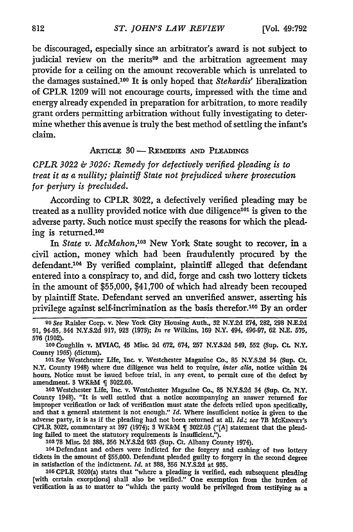be discouraged, especially since an arbitrator's award is not subject to judicial review on the merits<sup>99</sup> and the arbitration agreement may provide for a ceiling on the amount recoverable which is unrelated to the damages sustained. 00 It is only hoped that *Stekardis'* liberalization of CPLR **1209** will not encourage courts, impressed with the time and energy already expended in preparation for arbitration, to more readily grant orders permitting arbitration without fully investigating to determine whether this avenue is truly the best method of settling the infant's claim.

## ARTICLE 30 - **REMEDIES AND PLEADINGS**

*CPLR 3022 & 3026: Remedy for defectively verified pleading is to treat it as a nullity; plaintiff State not prejudiced where prosecution for perjury is precluded.*

According to CPLR 3022, a defectively verified pleading may be treated as a nullity provided notice with due diligence<sup>101</sup> is given to the adverse party. Such notice must specify the reasons for which the pleading is returned.<sup>102</sup>

In *State v. McMahon,103* New York State sought to recover, in a civil action, money which had been fraudulently procured by the defendant.<sup>104</sup> By verified complaint, plaintiff alleged that defendant entered into a conspiracy to, and did, forge and cash two lottery tickets in the amount of \$55,000, \$41,700 of which had already been recouped by plaintiff State. Defendant served an unverified answer, asserting his privilege against self-incrimination as the basis therefor.105 By an order

*101 See* Westchester Life, Inc. v. Westchester Magazine Co., **85 N.Y.S.2d** 84 **(Sup. CL** N.Y. County 1948) where due diligence was held to require, *inter alia,* notice within 24 hours. Notice must be issued before trial, in any event, to permit cure of the defect **by** amendment. 3 WK&M ¶ 3022.03.

**102** Westchester Life, Inc. v. Westchester Magazine Co., **85** N.Y.S.2d 84 (Sup. **CL** N.Y. County 1948). "It is well settled that a notice accompanying an answer returned for improper verification or lack of verification must state the defects relied upon specifically, and that a general statement is not enough." Id. Where insufficient notice is given to the adverse party, it is as if the pleading had not been returned at all. *Id.; see* **7B** McKINNEY'S CPLR 8022, commentary at **397** (1974); 8 WK&M 3022.08 **("[A]** statement that the pleading failed to meet the statutory requirements is insufficient.")

**103 78** Misc. 2d 388, **356** N.Y.S.2d **938** (Sup. **Ct.** Albany County 1974).

**'04** Defendant and others were indicted for the forgery and cashing of two lottery tickets in the amount of \$55,000. Defendant pleaded guilty to forgery in the second degree in satisfaction of the indictment, *Id.* at 388, **356** N.Y.S.2d at **935.**

**105** CPLR 3020(a) states that "where a pleading is verified, each subsequent pleading [with certain exceptions] shall also be verified." One exemption from the burden of verification is as to matter to "which the party would be privileged from testifying as a

**<sup>99</sup>** *See* Raisler Corp. **v.** New York City Housing Auth., 82 **N.Y.2d** 274, 282, 298 **N.E.2d** 91, 94-95, 844 N.Y.S.2d 917, **928 (1973);** *In re* Wilkins, 169 N.Y. 494, 496-97, 62 N.E. 575, 576 (1902).

**<sup>100</sup>** Coughlin v. MVIAC, 45 Misc. 2d 672, 674, **257 N.Y.S.2d** 549, **552** (Sup. **Ct.** N.Y. County **1965)** (dictum).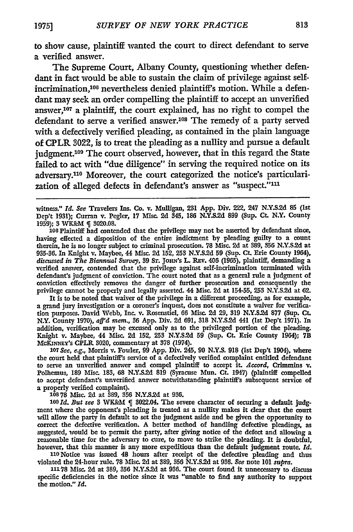to show cause, plaintiff wanted the court to direct defendant to serve a verified answer.

The Supreme Court, Albany County, questioning whether defendant in fact would be able to sustain the claim of privilege against selfincrimination,<sup>106</sup> nevertheless denied plaintiff's motion. While a defendant may seek an order compelling the plaintiff to accept an unverified answer,107 a plaintiff, the court explained, has no right to compel the defendant to serve a verified answer.<sup>108</sup> The remedy of a party served with a defectively verified pleading, as contained in the plain language of CPLR *3022,* is to treat the pleading as a nullity and pursue a default judgment.<sup>109</sup> The court observed, however, that in this regard the State failed to act with "due diligence" in serving the required notice on its adversary. 110 Moreover, the court categorized the notice's particularization of alleged defects in defendant's answer as "suspect."<sup>111</sup>

witness." *Id. See* Travelers Ins. Co. v. Mulligan, **231** App. Div. 222, 247 **N.Y.S.2d 85** (Ist Dep't **1931);** Curran v. Pegler, **17 Misc. 2d** 345, **186 N.Y.S.2d 899** (Sup. Ct. N.Y. County 1959); 3 WK&M q 3020.08.

**106** Plaintiff had contended that the privilege may not be asserted **by** defendant since, having effected a disposition of the entire indictment **by** pleading guilty to a count therein, he is no longer subject to criminal prosecution. **78** Misc. **2d** at 389, **356 N.Y.S.2d** at **935-36.** In Knight v. Maybee, 44 Misc. **2d 152, 253 N.Y.S.2d 59** (Sup. **Ct.** Erie County 1964), *discussed in The Biannual Survey,* **39 ST.** JoHN's L. Rzv. 406 (1965), plaintiff, demanding a verified answer, contended that the privilege against self-incrimination terminated with defendant's judgment of conviction. The court noted that as a general rule a judgment of conviction effectively removes the danger of further prosecution and consequently the privilege cannot be properly and legally asserted. 44 Misc. **2d** at **154-55, 253 N.Y.S.2d** at **62.**

It is to be noted that waiver of the privilege in a different proceeding, as for example, a grand jury investigation or a coroner's inquest, does not constitute a waiver for verification purposes. David **Webb,** Inc. v. Rosenstiel, **66** Misc. **2d 29, 319 N.Y.S.2d 877** (Sup. **Ct.** N.Y. County **1970),** *aff'd mem.,* **36** App. Div. **2d 691, 318 N.Y.S.2d** 441 (1st Dep't 1971). In addition, verification may be excused only as to the privileged portion of the pleading. Knight v. Maybee, 44 Misc. **2d 152, 253 N.Y-S.2d 59** (Sup. Ct. Erie County 1964); **7B** McKiNNEY's CPLR 3020, commentary at **378** (1974).

*107 See, e.g.,* Morris v. Fowler, **99** App. Div. 245, **90 N.Y.S. 918** (Ist Dep't 1904), where the court held that plaintiff's service of a defectively verified complaint entitled defendant to serve an unverified answer and compel plaintiff to accept it. *Accord,* Crimmins **v.** Polhemus, **189** Misc. **183, 68 N.Y.S.2d 819** (Syracuse Mun. Ct. 1947) (plaintiff compelled to accept defendant's unverified answer notwithstanding plaintiff's subsequent service of a properly verified complaint). **108 78** Misc. **2d** at **389, 356 N.Y.S.2d** at **936.**

109 *Id. But see* 3 WK&M { 3022.04. The severe character of securing a default judgment where the opponent's pleading is treated as a nullity makes it clear that the court will allow the party in default to set the judgment aside and be given the opportunity to correct the defective verification. A better method of handing defective pleadings, as suggested, would be to permit the party, after giving notice of the defect and allowing a reasonable time for the adversary to cure, to move to strike the pleading. It is doubtful, however, that this manner is any more expeditious than the default judgment route. *Id.*

**110** Notice was issued 48 hours after receipt of the defective pleading and thus violated the 24-hour rule. **78** Misc. **2d** at **389, 356 N.Y.S.2d** at **936.** *See* note **101** *supra.*

**11178** Misc. **2d** at **389, 356 N.Y.S.2d** at **936.** The court found it unnecessary to discuss specific defidencies in the notice since it was "unable to find any authority to support the motion." *Id.*